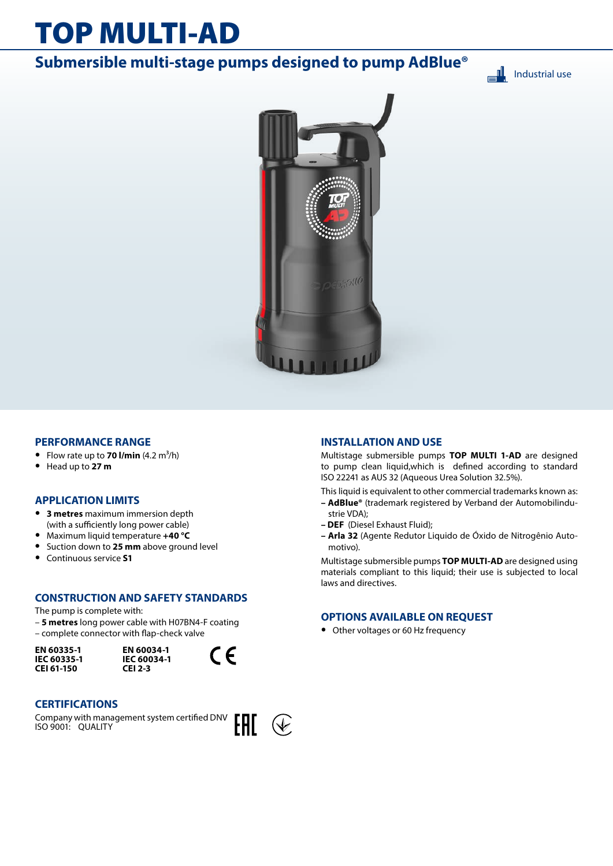# TOP MULTI-AD

# **Submersible multi-stage pumps designed to pump AdBlue®**

▄╨ Industrial use



### **PERFORMANCE RANGE**

- Flow rate up to **70 l/min**  $(4.2 \text{ m}^3/\text{h})$
- **•** Head up to **27 m**

### **APPLICATION LIMITS**

- **• 3 metres** maximum immersion depth (with a sufficiently long power cable)
- **•** Maximum liquid temperature **+40 °C**
- **•** Suction down to **25 mm** above ground level
- **•** Continuous service **S1**

### **CONSTRUCTION AND SAFETY STANDARDS**

The pump is complete with:

– **5 metres** long power cable with H07BN4-F coating – complete connector with flap-check valve

**EN 60335-1 IEC 60335-1 CEI 61-150**





### **CERTIFICATIONS**

Company with management system certified DNV ISO 9001: QUALITY



### **INSTALLATION AND USE**

Multistage submersible pumps **TOP MULTI 1-AD** are designed to pump clean liquid,which is defined according to standard ISO 22241 as AUS 32 (Aqueous Urea Solution 32.5%).

This liquid is equivalent to other commercial trademarks known as:

- **AdBlue®** (trademark registered by Verband der Automobilindustrie VDA);
- **DEF** (Diesel Exhaust Fluid);
- **Arla 32** (Agente Redutor Liquido de Óxido de Nitrogênio Automotivo).

Multistage submersible pumps **TOP MULTI-AD** are designed using materials compliant to this liquid; their use is subjected to local laws and directives.

### **OPTIONS AVAILABLE ON REQUEST**

**•** Other voltages or 60 Hz frequency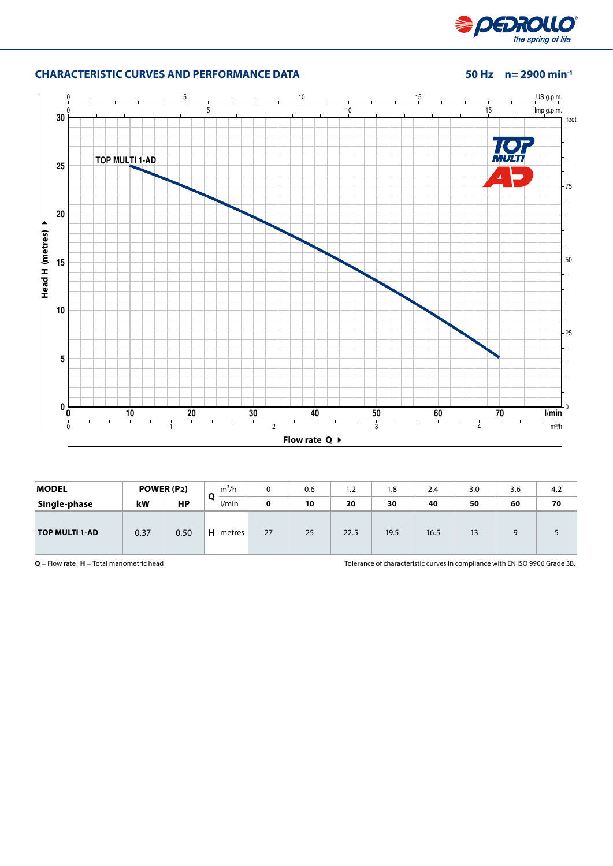

## **CHARACTERISTIC CURVES AND PERFORMANCE DATA 50 Hz n= 2900 min-1**



| <b>MODEL</b>          |      | POWER (P2) | $m^3/h$     | 0  | 0.6 | 1.2  | 1.8  | 2.4  | 3.0 | 3.6 | 4.2 |
|-----------------------|------|------------|-------------|----|-----|------|------|------|-----|-----|-----|
| Single-phase          | kW   | <b>HP</b>  | Q<br>l/min  | 0  | 10  | 20   | 30   | 40   | 50  | 60  | 70  |
| <b>TOP MULTI 1-AD</b> | 0.37 | 0.50       | н<br>metres | 27 | 25  | 22.5 | 19.5 | 16.5 | 13  |     |     |

**Q** = Flow rate **H** = Total manometric head Tolerance of characteristic curves in compliance with EN ISO 9906 Grade 3B.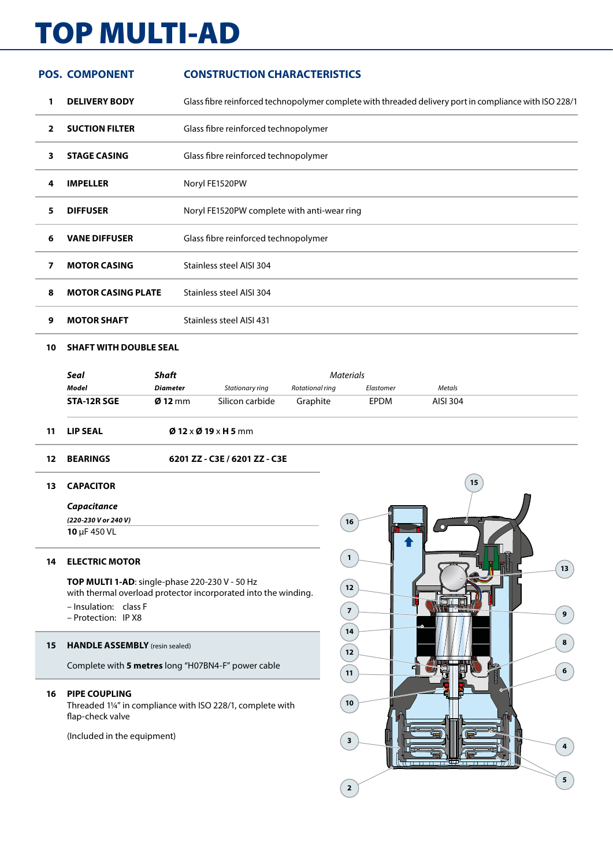# TOP MULTI-AD

|              | <b>POS. COMPONENT</b>     | <b>CONSTRUCTION CHARACTERISTICS</b>                                                                    |
|--------------|---------------------------|--------------------------------------------------------------------------------------------------------|
| 1            | <b>DELIVERY BODY</b>      | Glass fibre reinforced technopolymer complete with threaded delivery port in compliance with ISO 228/1 |
| $\mathbf{2}$ | <b>SUCTION FILTER</b>     | Glass fibre reinforced technopolymer                                                                   |
| 3            | <b>STAGE CASING</b>       | Glass fibre reinforced technopolymer                                                                   |
| 4            | <b>IMPELLER</b>           | Noryl FE1520PW                                                                                         |
| 5            | <b>DIFFUSER</b>           | Noryl FE1520PW complete with anti-wear ring                                                            |
| 6            | <b>VANE DIFFUSER</b>      | Glass fibre reinforced technopolymer                                                                   |
| 7            | <b>MOTOR CASING</b>       | Stainless steel AISI 304                                                                               |
| 8            | <b>MOTOR CASING PLATE</b> | Stainless steel AISI 304                                                                               |
| 9            | <b>MOTOR SHAFT</b>        | Stainless steel AISI 431                                                                               |
|              |                           |                                                                                                        |

### **SHAFT WITH DOUBLE SEAL**

|             | Shaft             | Materials       |                 |             |          |  |  |
|-------------|-------------------|-----------------|-----------------|-------------|----------|--|--|
| Model       | <b>Diameter</b>   | Stationary ring | Rotational ring | Elastomer   | Metals   |  |  |
| STA-12R SGE | $\emptyset$ 12 mm | Silicon carbide | Graphite        | <b>EPDM</b> | AISI 304 |  |  |

- **LIP SEAL Ø 12** x **Ø 19** x **H 5** mm
- **BEARINGS 6201 ZZ C3E / 6201 ZZ C3E**

### **CAPACITOR**

*Capacitance*

*(220-230 V or 240 V)* μF 450 VL

### **ELECTRIC MOTOR**

**TOP MULTI 1-AD**: single-phase 220-230 V - 50 Hz with thermal overload protector incorporated into the winding. – Insulation: class F

– Protection: IP X8

### **HANDLE ASSEMBLY** (resin sealed)

Complete with **5 metres** long "H07BN4-F" power cable

### **PIPE COUPLING**

Threaded 1¼" in compliance with ISO 228/1, complete with flap-check valve

(Included in the equipment)